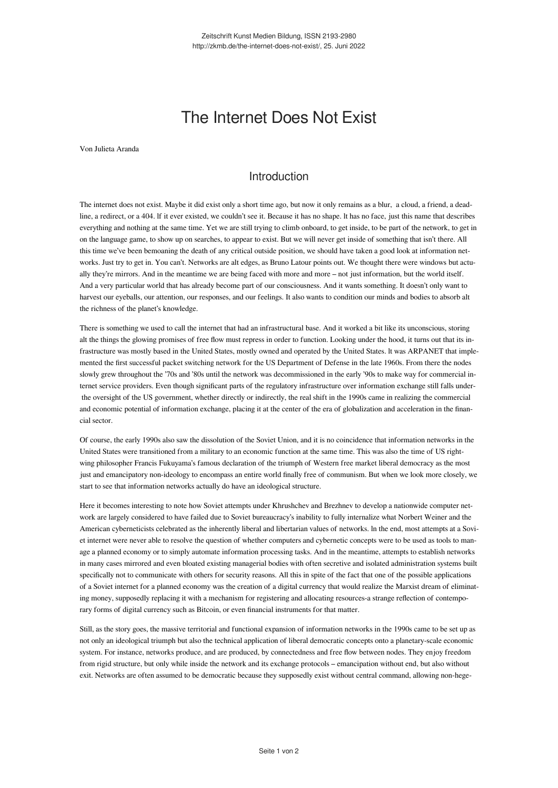## The Internet Does Not Exist

Von Julieta Aranda

## Introduction

The internet does not exist. Maybe it did exist only a short time ago, but now it only remains as a blur, a cloud, a friend, a deadline, a redirect, or a 404. lf it ever existed, we couldn't see it. Because it has no shape. lt has no face, just this name that describes everything and nothing at the same time. Yet we are still trying to climb onboard, to get inside, to be part of the network, to get in on the language game, to show up on searches, to appear to exist. But we will never get inside of something that isn't there. All this time we've been bemoaning the death of any critical outside position, we should have taken a good look at information networks. Just try to get in. You can't. Networks are alt edges, as Bruno Latour points out. We thought there were windows but actually they're mirrors. And in the meantime we are being faced with more and more – not just information, but the world itself. And a very particular world that has already become part of our consciousness. And it wants something. It doesn't only want to harvest our eyeballs, our attention, our responses, and our feelings. It also wants to condition our minds and bodies to absorb alt the richness of the planet's knowledge.

There is something we used to call the internet that had an infrastructural base. And it worked a bit like its unconscious, storing alt the things the glowing promises of free flow must repress in order to function. Looking under the hood, it turns out that its infrastructure was mostly based in the United States, mostly owned and operated by the United States. lt was ARPANET that implemented the first successful packet switching network for the US Department of Defense in the late 1960s. From there the nodes slowly grew throughout the '70s and '80s until the network was decommissioned in the early '90s to make way for commercial internet service providers. Even though significant parts of the regulatory infrastructure over information exchange still falls under the oversight of the US government, whether directly or indirectly, the real shift in the 1990s came in realizing the commercial and economic potential of information exchange, placing it at the center of the era of globalization and acceleration in the financial sector.

Of course, the early 1990s also saw the dissolution of the Soviet Union, and it is no coincidence that information networks in the United States were transitioned from a military to an economic function at the same time. This was also the time of US rightwing philosopher Francis Fukuyama's famous declaration of the triumph of Western free market liberal democracy as the most just and emancipatory non-ideology to encompass an entire world finally free of communism. But when we look more closely, we start to see that information networks actually do have an ideological structure.

Here it becomes interesting to note how Soviet attempts under Khrushchev and Brezhnev to develop a nationwide computer network are largely considered to have failed due to Soviet bureaucracy's inability to fully internalize what Norbert Weiner and the American cyberneticists celebrated as the inherently liberal and libertarian values of networks. ln the end, most attempts at a Soviet internet were never able to resolve the question of whether computers and cybernetic concepts were to be used as tools to manage a planned economy or to simply automate information processing tasks. And in the meantime, attempts to establish networks in many cases mirrored and even bloated existing managerial bodies with often secretive and isolated administration systems built specifically not to communicate with others for security reasons. All this in spite of the fact that one of the possible applications of a Soviet internet for a planned economy was the creation of a digital currency that would realize the Marxist dream of eliminating money, supposedly replacing it with a mechanism for registering and allocating resources-a strange reflection of contemporary forms of digital currency such as Bitcoin, or even financial instruments for that matter.

Still, as the story goes, the massive territorial and functional expansion of information networks in the 1990s came to be set up as not only an ideological triumph but also the technical application of liberal democratic concepts onto a planetary-scale economic system. For instance, networks produce, and are produced, by connectedness and free flow between nodes. They enjoy freedom from rigid structure, but only while inside the network and its exchange protocols – emancipation without end, but also without exit. Networks are often assumed to be democratic because they supposedly exist without central command, allowing non-hege-